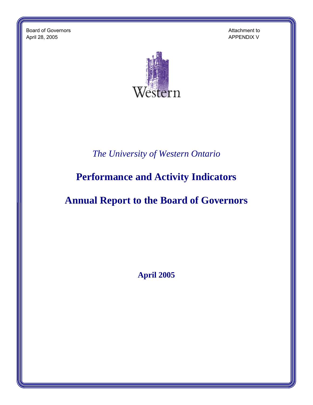Board of Governors April 28, 2005 Attachment to

APPENDIX V



*The University of Western Ontario*

# **Performance and Activity Indicators**

# **Annual Report to the Board of Governors**

**April 2005**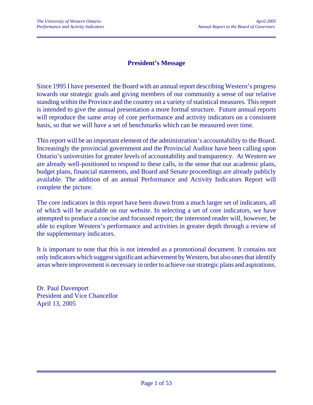# **President's Message**

Since 1995 I have presented the Board with an annual report describing Western's progress towards our strategic goals and giving members of our community a sense of our relative standing within the Province and the country on a variety of statistical measures. This report is intended to give the annual presentation a more formal structure. Future annual reports will reproduce the same array of core performance and activity indicators on a consistent basis, so that we will have a set of benchmarks which can be measured over time.

This report will be an important element of the administration's accountability to the Board. Increasingly the provincial government and the Provincial Auditor have been calling upon Ontario's universities for greater levels of accountability and transparency. At Western we are already well-positioned to respond to these calls, in the sense that our academic plans, budget plans, financial statements, and Board and Senate proceedings are already publicly available. The addition of an annual Performance and Activity Indicators Report will complete the picture.

The core indicators in this report have been drawn from a much larger set of indicators, all of which will be available on our website. In selecting a set of core indicators, we have attempted to produce a concise and focussed report; the interested reader will, however, be able to explore Western's performance and activities in greater depth through a review of the supplementary indicators.

It is important to note that this is not intended as a promotional document. It contains not only indicators which suggest significant achievement by Western, but also ones that identify areas where improvement is necessary in order to achieve our strategic plans and aspirations.

Dr. Paul Davenport President and Vice Chancellor April 13, 2005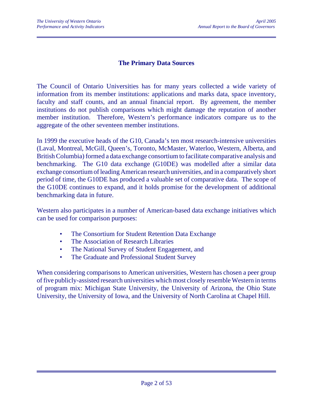# **The Primary Data Sources**

The Council of Ontario Universities has for many years collected a wide variety of information from its member institutions: applications and marks data, space inventory, faculty and staff counts, and an annual financial report. By agreement, the member institutions do not publish comparisons which might damage the reputation of another member institution. Therefore, Western's performance indicators compare us to the aggregate of the other seventeen member institutions.

In 1999 the executive heads of the G10, Canada's ten most research-intensive universities (Laval, Montreal, McGill, Queen's, Toronto, McMaster, Waterloo, Western, Alberta, and British Columbia) formed a data exchange consortium to facilitate comparative analysis and benchmarking. The G10 data exchange (G10DE) was modelled after a similar data exchange consortium of leading American research universities, and in a comparatively short period of time, the G10DE has produced a valuable set of comparative data. The scope of the G10DE continues to expand, and it holds promise for the development of additional benchmarking data in future.

Western also participates in a number of American-based data exchange initiatives which can be used for comparison purposes:

- The Consortium for Student Retention Data Exchange
- The Association of Research Libraries
- The National Survey of Student Engagement, and
- The Graduate and Professional Student Survey

When considering comparisons to American universities, Western has chosen a peer group of five publicly-assisted research universities which most closely resemble Western in terms of program mix: Michigan State University, the University of Arizona, the Ohio State University, the University of Iowa, and the University of North Carolina at Chapel Hill.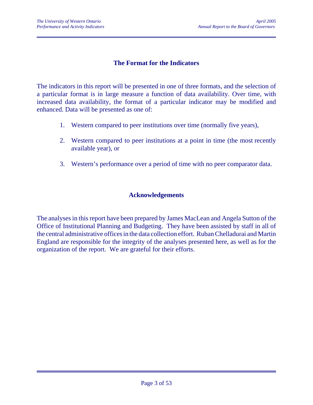# **The Format for the Indicators**

The indicators in this report will be presented in one of three formats, and the selection of a particular format is in large measure a function of data availability. Over time, with increased data availability, the format of a particular indicator may be modified and enhanced. Data will be presented as one of:

- 1. Western compared to peer institutions over time (normally five years),
- 2. Western compared to peer institutions at a point in time (the most recently available year), or
- 3. Western's performance over a period of time with no peer comparator data.

#### **Acknowledgements**

The analyses in this report have been prepared by James MacLean and Angela Sutton of the Office of Institutional Planning and Budgeting. They have been assisted by staff in all of the central administrative offices in the data collection effort. Ruban Chelladurai and Martin England are responsible for the integrity of the analyses presented here, as well as for the organization of the report. We are grateful for their efforts.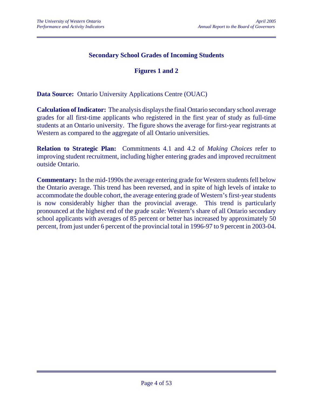# **Secondary School Grades of Incoming Students**

#### **Figures 1 and 2**

**Data Source:** Ontario University Applications Centre (OUAC)

**Calculation of Indicator:** The analysis displays the final Ontario secondary school average grades for all first-time applicants who registered in the first year of study as full-time students at an Ontario university. The figure shows the average for first-year registrants at Western as compared to the aggregate of all Ontario universities.

**Relation to Strategic Plan:** Commitments 4.1 and 4.2 of *Making Choices* refer to improving student recruitment, including higher entering grades and improved recruitment outside Ontario.

**Commentary:** In the mid-1990s the average entering grade for Western students fell below the Ontario average. This trend has been reversed, and in spite of high levels of intake to accommodate the double cohort, the average entering grade of Western's first-year students is now considerably higher than the provincial average. This trend is particularly pronounced at the highest end of the grade scale: Western's share of all Ontario secondary school applicants with averages of 85 percent or better has increased by approximately 50 percent, from just under 6 percent of the provincial total in 1996-97 to 9 percent in 2003-04.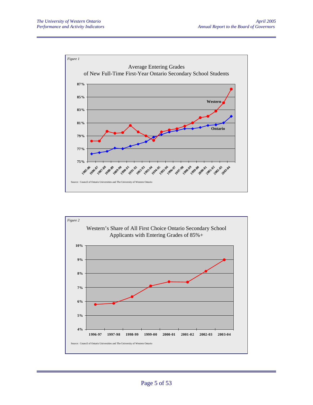

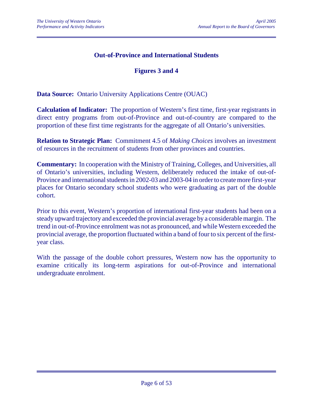# **Out-of-Province and International Students**

#### **Figures 3 and 4**

**Data Source:** Ontario University Applications Centre (OUAC)

**Calculation of Indicator:** The proportion of Western's first time, first-year registrants in direct entry programs from out-of-Province and out-of-country are compared to the proportion of these first time registrants for the aggregate of all Ontario's universities.

**Relation to Strategic Plan:** Commitment 4.5 of *Making Choices* involves an investment of resources in the recruitment of students from other provinces and countries.

**Commentary:** In cooperation with the Ministry of Training, Colleges, and Universities, all of Ontario's universities, including Western, deliberately reduced the intake of out-of-Province and international students in 2002-03 and 2003-04 in order to create more first-year places for Ontario secondary school students who were graduating as part of the double cohort.

Prior to this event, Western's proportion of international first-year students had been on a steady upward trajectory and exceeded the provincial average by a considerable margin. The trend in out-of-Province enrolment was not as pronounced, and while Western exceeded the provincial average, the proportion fluctuated within a band of four to six percent of the firstyear class.

With the passage of the double cohort pressures, Western now has the opportunity to examine critically its long-term aspirations for out-of-Province and international undergraduate enrolment.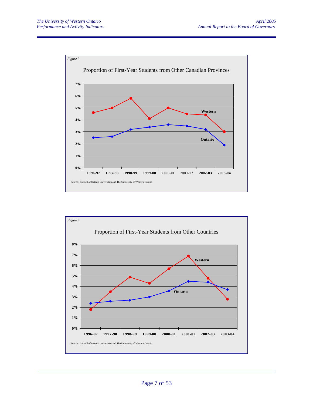

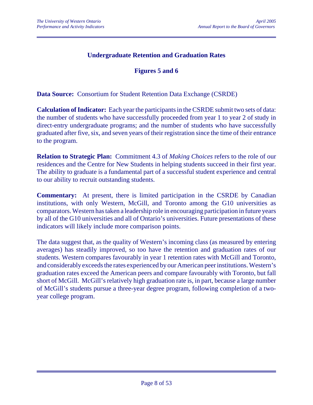# **Undergraduate Retention and Graduation Rates**

#### **Figures 5 and 6**

**Data Source:** Consortium for Student Retention Data Exchange (CSRDE)

**Calculation of Indicator:** Each year the participants in the CSRDE submit two sets of data: the number of students who have successfully proceeded from year 1 to year 2 of study in direct-entry undergraduate programs; and the number of students who have successfully graduated after five, six, and seven years of their registration since the time of their entrance to the program.

**Relation to Strategic Plan:** Commitment 4.3 of *Making Choices* refers to the role of our residences and the Centre for New Students in helping students succeed in their first year. The ability to graduate is a fundamental part of a successful student experience and central to our ability to recruit outstanding students.

**Commentary:** At present, there is limited participation in the CSRDE by Canadian institutions, with only Western, McGill, and Toronto among the G10 universities as comparators. Western has taken a leadership role in encouraging participation in future years by all of the G10 universities and all of Ontario's universities. Future presentations of these indicators will likely include more comparison points.

The data suggest that, as the quality of Western's incoming class (as measured by entering averages) has steadily improved, so too have the retention and graduation rates of our students. Western compares favourably in year 1 retention rates with McGill and Toronto, and considerably exceeds the rates experienced by our American peer institutions. Western's graduation rates exceed the American peers and compare favourably with Toronto, but fall short of McGill. McGill's relatively high graduation rate is, in part, because a large number of McGill's students pursue a three-year degree program, following completion of a twoyear college program.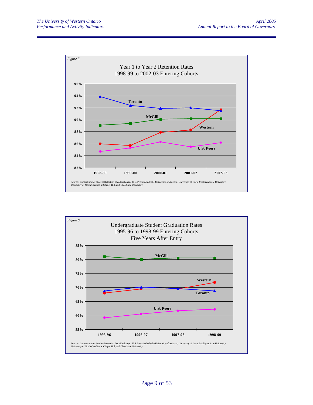

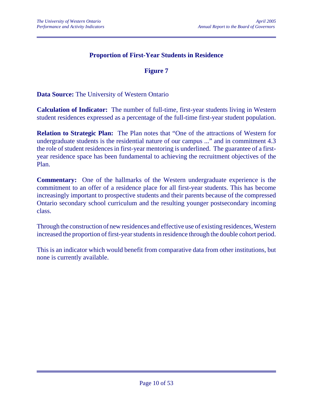# **Proportion of First-Year Students in Residence**

# **Figure 7**

**Data Source:** The University of Western Ontario

**Calculation of Indicator:** The number of full-time, first-year students living in Western student residences expressed as a percentage of the full-time first-year student population.

**Relation to Strategic Plan:** The Plan notes that "One of the attractions of Western for undergraduate students is the residential nature of our campus ..." and in commitment 4.3 the role of student residences in first-year mentoring is underlined. The guarantee of a firstyear residence space has been fundamental to achieving the recruitment objectives of the Plan.

**Commentary:** One of the hallmarks of the Western undergraduate experience is the commitment to an offer of a residence place for all first-year students. This has become increasingly important to prospective students and their parents because of the compressed Ontario secondary school curriculum and the resulting younger postsecondary incoming class.

Through the construction of new residences and effective use of existing residences, Western increased the proportion of first-year students in residence through the double cohort period.

This is an indicator which would benefit from comparative data from other institutions, but none is currently available.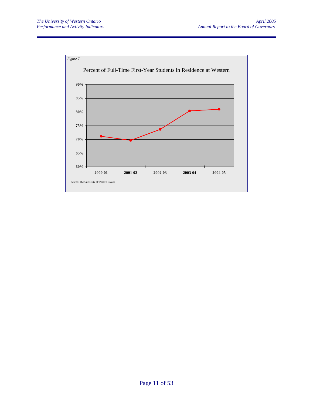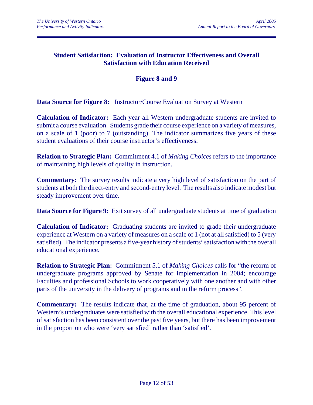# **Student Satisfaction: Evaluation of Instructor Effectiveness and Overall Satisfaction with Education Received**

# **Figure 8 and 9**

#### **Data Source for Figure 8:** Instructor/Course Evaluation Survey at Western

**Calculation of Indicator:** Each year all Western undergraduate students are invited to submit a course evaluation. Students grade their course experience on a variety of measures, on a scale of 1 (poor) to 7 (outstanding). The indicator summarizes five years of these student evaluations of their course instructor's effectiveness.

**Relation to Strategic Plan:** Commitment 4.1 of *Making Choices* refers to the importance of maintaining high levels of quality in instruction.

**Commentary:** The survey results indicate a very high level of satisfaction on the part of students at both the direct-entry and second-entry level. The results also indicate modest but steady improvement over time.

**Data Source for Figure 9:** Exit survey of all undergraduate students at time of graduation

**Calculation of Indicator:** Graduating students are invited to grade their undergraduate experience at Western on a variety of measures on a scale of 1 (not at all satisfied) to 5 (very satisfied). The indicator presents a five-year history of students' satisfaction with the overall educational experience.

**Relation to Strategic Plan:** Commitment 5.1 of *Making Choices* calls for "the reform of undergraduate programs approved by Senate for implementation in 2004; encourage Faculties and professional Schools to work cooperatively with one another and with other parts of the university in the delivery of programs and in the reform process".

**Commentary:** The results indicate that, at the time of graduation, about 95 percent of Western's undergraduates were satisfied with the overall educational experience. This level of satisfaction has been consistent over the past five years, but there has been improvement in the proportion who were 'very satisfied' rather than 'satisfied'.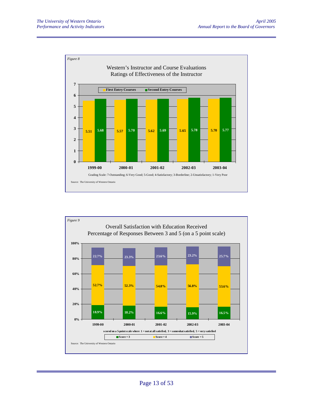

![](_page_13_Figure_3.jpeg)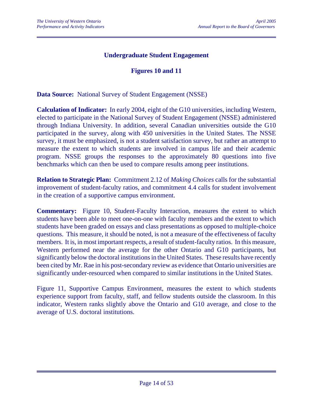# **Undergraduate Student Engagement**

### **Figures 10 and 11**

**Data Source:** National Survey of Student Engagement (NSSE)

**Calculation of Indicator:** In early 2004, eight of the G10 universities, including Western, elected to participate in the National Survey of Student Engagement (NSSE) administered through Indiana University. In addition, several Canadian universities outside the G10 participated in the survey, along with 450 universities in the United States. The NSSE survey, it must be emphasized, is not a student satisfaction survey, but rather an attempt to measure the extent to which students are involved in campus life and their academic program. NSSE groups the responses to the approximately 80 questions into five benchmarks which can then be used to compare results among peer institutions.

**Relation to Strategic Plan:** Commitment 2.12 of *Making Choices* calls for the substantial improvement of student-faculty ratios, and commitment 4.4 calls for student involvement in the creation of a supportive campus environment.

**Commentary:** Figure 10, Student-Faculty Interaction, measures the extent to which students have been able to meet one-on-one with faculty members and the extent to which students have been graded on essays and class presentations as opposed to multiple-choice questions. This measure, it should be noted, is not a measure of the effectiveness of faculty members. It is, in most important respects, a result of student-faculty ratios. In this measure, Western performed near the average for the other Ontario and G10 participants, but significantly below the doctoral institutions in the United States. These results have recently been cited by Mr. Rae in his post-secondary review as evidence that Ontario universities are significantly under-resourced when compared to similar institutions in the United States.

Figure 11, Supportive Campus Environment, measures the extent to which students experience support from faculty, staff, and fellow students outside the classroom. In this indicator, Western ranks slightly above the Ontario and G10 average, and close to the average of U.S. doctoral institutions.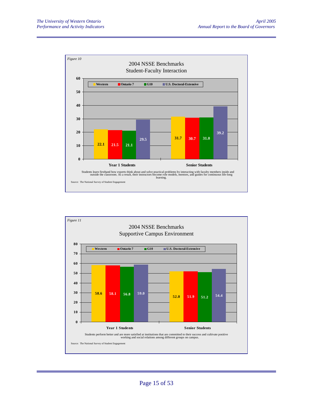![](_page_15_Figure_2.jpeg)

![](_page_15_Figure_3.jpeg)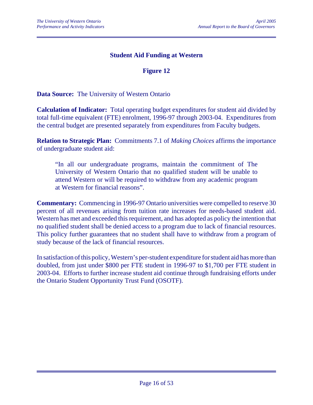# **Student Aid Funding at Western**

### **Figure 12**

**Data Source:** The University of Western Ontario

**Calculation of Indicator:** Total operating budget expenditures for student aid divided by total full-time equivalent (FTE) enrolment, 1996-97 through 2003-04. Expenditures from the central budget are presented separately from expenditures from Faculty budgets.

**Relation to Strategic Plan:** Commitments 7.1 of *Making Choices* affirms the importance of undergraduate student aid:

"In all our undergraduate programs, maintain the commitment of The University of Western Ontario that no qualified student will be unable to attend Western or will be required to withdraw from any academic program at Western for financial reasons".

**Commentary:** Commencing in 1996-97 Ontario universities were compelled to reserve 30 percent of all revenues arising from tuition rate increases for needs-based student aid. Western has met and exceeded this requirement, and has adopted as policy the intention that no qualified student shall be denied access to a program due to lack of financial resources. This policy further guarantees that no student shall have to withdraw from a program of study because of the lack of financial resources.

In satisfaction of this policy, Western's per-student expenditure for student aid has more than doubled, from just under \$800 per FTE student in 1996-97 to \$1,700 per FTE student in 2003-04. Efforts to further increase student aid continue through fundraising efforts under the Ontario Student Opportunity Trust Fund (OSOTF).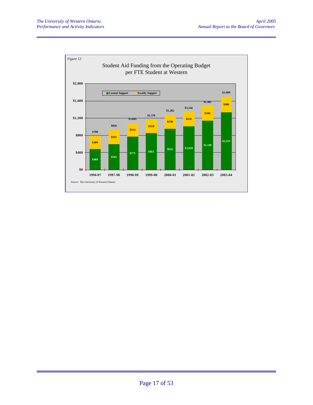![](_page_17_Figure_2.jpeg)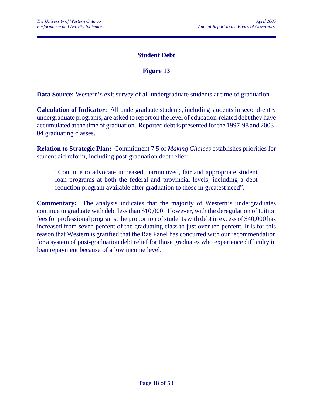# **Student Debt**

# **Figure 13**

**Data Source:** Western's exit survey of all undergraduate students at time of graduation

**Calculation of Indicator:** All undergraduate students, including students in second-entry undergraduate programs, are asked to report on the level of education-related debt they have accumulated at the time of graduation. Reported debt is presented for the 1997-98 and 2003- 04 graduating classes.

**Relation to Strategic Plan:** Commitment 7.5 of *Making Choices* establishes priorities for student aid reform, including post-graduation debt relief:

"Continue to advocate increased, harmonized, fair and appropriate student loan programs at both the federal and provincial levels, including a debt reduction program available after graduation to those in greatest need".

**Commentary:** The analysis indicates that the majority of Western's undergraduates continue to graduate with debt less than \$10,000. However, with the deregulation of tuition fees for professional programs, the proportion of students with debt in excess of \$40,000 has increased from seven percent of the graduating class to just over ten percent. It is for this reason that Western is gratified that the Rae Panel has concurred with our recommendation for a system of post-graduation debt relief for those graduates who experience difficulty in loan repayment because of a low income level.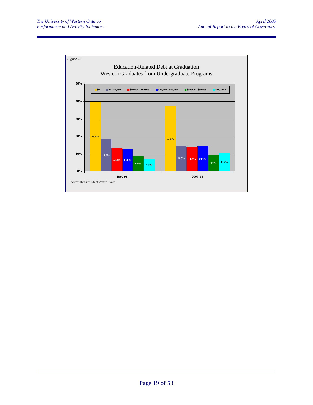![](_page_19_Figure_2.jpeg)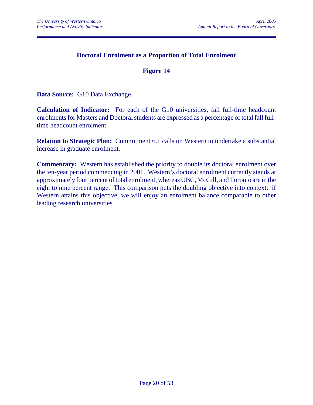# **Doctoral Enrolment as a Proportion of Total Enrolment**

#### **Figure 14**

#### **Data Source:** G10 Data Exchange

**Calculation of Indicator:** For each of the G10 universities, fall full-time headcount enrolments for Masters and Doctoral students are expressed as a percentage of total fall fulltime headcount enrolment.

**Relation to Strategic Plan:** Commitment 6.1 calls on Western to undertake a substantial increase in graduate enrolment.

**Commentary:** Western has established the priority to double its doctoral enrolment over the ten-year period commencing in 2001. Western's doctoral enrolment currently stands at approximately four percent of total enrolment, whereas UBC, McGill, and Toronto are in the eight to nine percent range. This comparison puts the doubling objective into context: if Western attains this objective, we will enjoy an enrolment balance comparable to other leading research universities.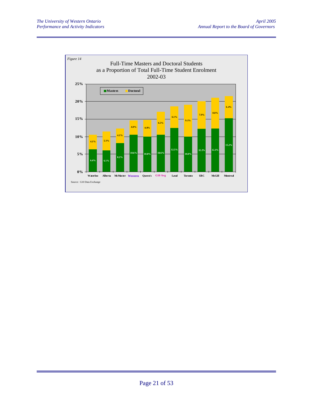![](_page_21_Figure_2.jpeg)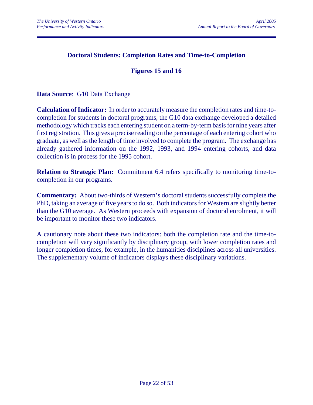# **Doctoral Students: Completion Rates and Time-to-Completion**

# **Figures 15 and 16**

#### **Data Source**: G10 Data Exchange

**Calculation of Indicator:** In order to accurately measure the completion rates and time-tocompletion for students in doctoral programs, the G10 data exchange developed a detailed methodology which tracks each entering student on a term-by-term basis for nine years after first registration. This gives a precise reading on the percentage of each entering cohort who graduate, as well as the length of time involved to complete the program. The exchange has already gathered information on the 1992, 1993, and 1994 entering cohorts, and data collection is in process for the 1995 cohort.

**Relation to Strategic Plan:** Commitment 6.4 refers specifically to monitoring time-tocompletion in our programs.

**Commentary:** About two-thirds of Western's doctoral students successfully complete the PhD, taking an average of five years to do so. Both indicators for Western are slightly better than the G10 average. As Western proceeds with expansion of doctoral enrolment, it will be important to monitor these two indicators.

A cautionary note about these two indicators: both the completion rate and the time-tocompletion will vary significantly by disciplinary group, with lower completion rates and longer completion times, for example, in the humanities disciplines across all universities. The supplementary volume of indicators displays these disciplinary variations.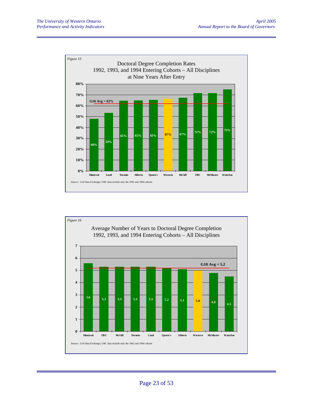![](_page_23_Figure_2.jpeg)

![](_page_23_Figure_3.jpeg)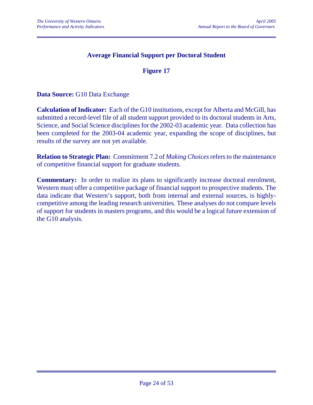# **Average Financial Support per Doctoral Student**

#### **Figure 17**

**Data Source:** G10 Data Exchange

**Calculation of Indicator:** Each of the G10 institutions, except for Alberta and McGill, has submitted a record-level file of all student support provided to its doctoral students in Arts, Science, and Social Science disciplines for the 2002-03 academic year. Data collection has been completed for the 2003-04 academic year, expanding the scope of disciplines, but results of the survey are not yet available.

**Relation to Strategic Plan:** Commitment 7.2 of *Making Choices* refers to the maintenance of competitive financial support for graduate students.

**Commentary:** In order to realize its plans to significantly increase doctoral enrolment, Western must offer a competitive package of financial support to prospective students. The data indicate that Western's support, both from internal and external sources, is highlycompetitive among the leading research universities. These analyses do not compare levels of support for students in masters programs, and this would be a logical future extension of the G10 analysis.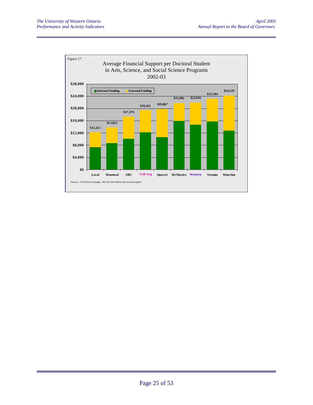![](_page_25_Figure_2.jpeg)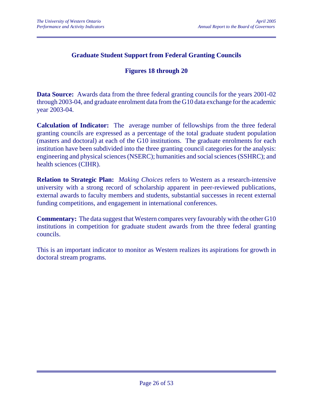# **Graduate Student Support from Federal Granting Councils**

# **Figures 18 through 20**

**Data Source:** Awards data from the three federal granting councils for the years 2001-02 through 2003-04, and graduate enrolment data from the G10 data exchange for the academic year 2003-04.

**Calculation of Indicator:** The average number of fellowships from the three federal granting councils are expressed as a percentage of the total graduate student population (masters and doctoral) at each of the G10 institutions. The graduate enrolments for each institution have been subdivided into the three granting council categories for the analysis: engineering and physical sciences (NSERC); humanities and social sciences (SSHRC); and health sciences (CIHR).

**Relation to Strategic Plan:** *Making Choices* refers to Western as a research-intensive university with a strong record of scholarship apparent in peer-reviewed publications, external awards to faculty members and students, substantial successes in recent external funding competitions, and engagement in international conferences.

**Commentary:** The data suggest that Western compares very favourably with the other G10 institutions in competition for graduate student awards from the three federal granting councils.

This is an important indicator to monitor as Western realizes its aspirations for growth in doctoral stream programs.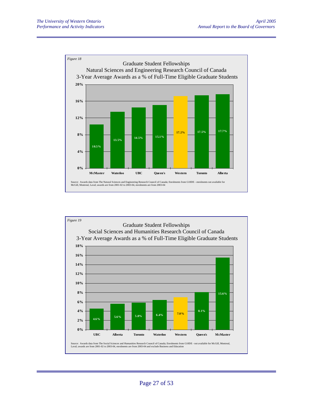![](_page_27_Figure_2.jpeg)

![](_page_27_Figure_3.jpeg)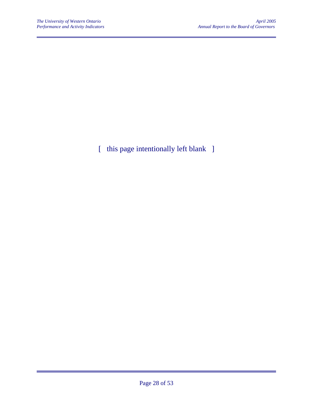# [ this page intentionally left blank ]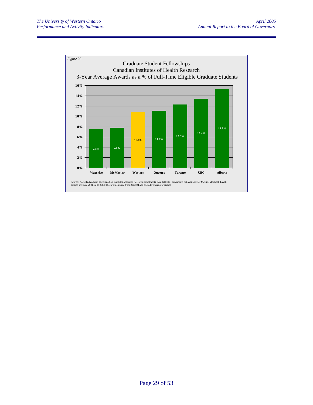![](_page_29_Figure_2.jpeg)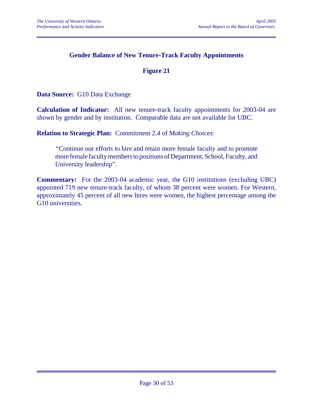# **Gender Balance of New Tenure-Track Faculty Appointments**

#### **Figure 21**

**Data Source:** G10 Data Exchange

**Calculation of Indicator:** All new tenure-track faculty appointments for 2003-04 are shown by gender and by institution. Comparable data are not available for UBC.

**Relation to Strategic Plan:** Commitment 2.4 of *Making Choices:*

*"*Continue our efforts to hire and retain more female faculty and to promote more female faculty members to positions of Department, School, Faculty, and University leadership".

**Commentary:** For the 2003-04 academic year, the G10 institutions (excluding UBC) appointed 719 new tenure-track faculty, of whom 38 percent were women. For Western, approximately 45 percent of all new hires were women, the highest percentage among the G10 universities.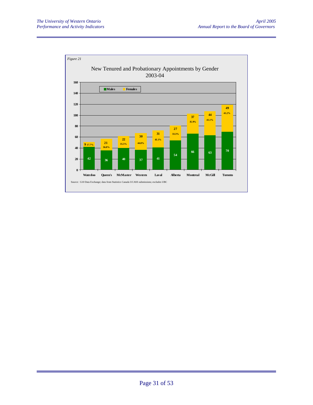![](_page_31_Figure_2.jpeg)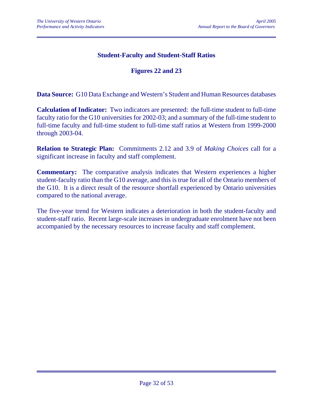# **Student-Faculty and Student-Staff Ratios**

### **Figures 22 and 23**

**Data Source:** G10 Data Exchange and Western's Student and Human Resources databases

**Calculation of Indicator:** Two indicators are presented: the full-time student to full-time faculty ratio for the G10 universities for 2002-03; and a summary of the full-time student to full-time faculty and full-time student to full-time staff ratios at Western from 1999-2000 through 2003-04.

**Relation to Strategic Plan:** Commitments 2.12 and 3.9 of *Making Choices* call for a significant increase in faculty and staff complement.

**Commentary:** The comparative analysis indicates that Western experiences a higher student-faculty ratio than the G10 average, and this is true for all of the Ontario members of the G10. It is a direct result of the resource shortfall experienced by Ontario universities compared to the national average.

The five-year trend for Western indicates a deterioration in both the student-faculty and student-staff ratio. Recent large-scale increases in undergraduate enrolment have not been accompanied by the necessary resources to increase faculty and staff complement.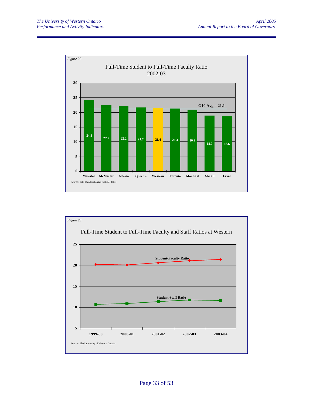![](_page_33_Figure_2.jpeg)

![](_page_33_Figure_3.jpeg)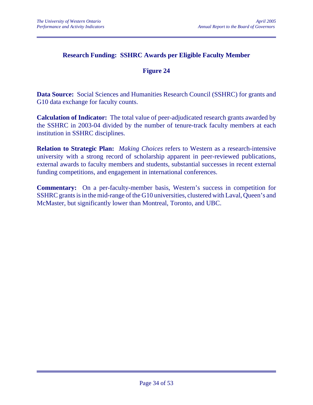# **Research Funding: SSHRC Awards per Eligible Faculty Member**

#### **Figure 24**

**Data Source:** Social Sciences and Humanities Research Council (SSHRC) for grants and G10 data exchange for faculty counts.

**Calculation of Indicator:** The total value of peer-adjudicated research grants awarded by the SSHRC in 2003-04 divided by the number of tenure-track faculty members at each institution in SSHRC disciplines.

**Relation to Strategic Plan:** *Making Choices* refers to Western as a research-intensive university with a strong record of scholarship apparent in peer-reviewed publications, external awards to faculty members and students, substantial successes in recent external funding competitions, and engagement in international conferences.

**Commentary:** On a per-faculty-member basis, Western's success in competition for SSHRC grants is in the mid-range of the G10 universities, clustered with Laval, Queen's and McMaster, but significantly lower than Montreal, Toronto, and UBC.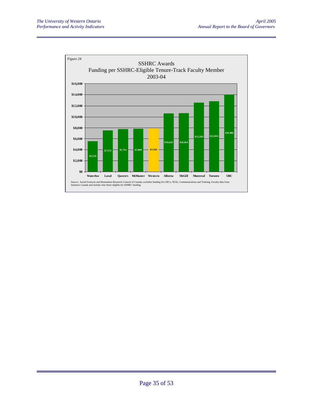![](_page_35_Figure_2.jpeg)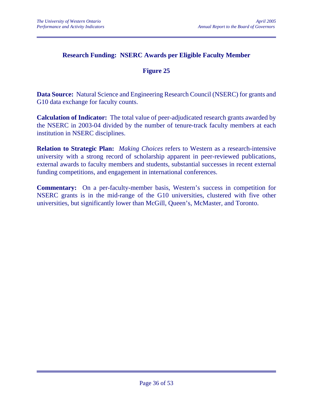# **Research Funding: NSERC Awards per Eligible Faculty Member**

### **Figure 25**

**Data Source:** Natural Science and Engineering Research Council (NSERC) for grants and G10 data exchange for faculty counts.

**Calculation of Indicator:** The total value of peer-adjudicated research grants awarded by the NSERC in 2003-04 divided by the number of tenure-track faculty members at each institution in NSERC disciplines.

**Relation to Strategic Plan:** *Making Choices* refers to Western as a research-intensive university with a strong record of scholarship apparent in peer-reviewed publications, external awards to faculty members and students, substantial successes in recent external funding competitions, and engagement in international conferences.

**Commentary:** On a per-faculty-member basis, Western's success in competition for NSERC grants is in the mid-range of the G10 universities, clustered with five other universities, but significantly lower than McGill, Queen's, McMaster, and Toronto.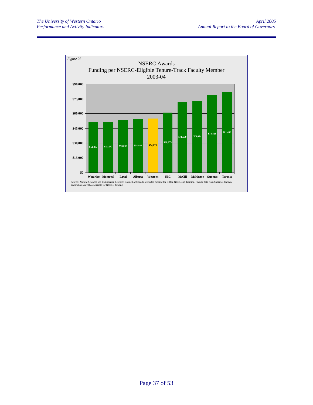![](_page_37_Figure_2.jpeg)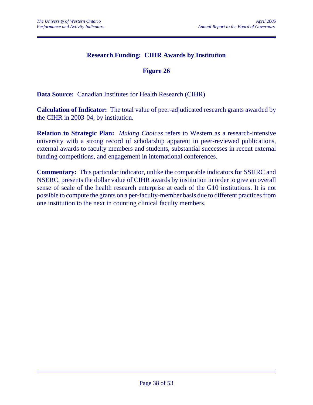# **Research Funding: CIHR Awards by Institution**

#### **Figure 26**

**Data Source:** Canadian Institutes for Health Research (CIHR)

**Calculation of Indicator:** The total value of peer-adjudicated research grants awarded by the CIHR in 2003-04, by institution.

**Relation to Strategic Plan:** *Making Choices* refers to Western as a research-intensive university with a strong record of scholarship apparent in peer-reviewed publications, external awards to faculty members and students, substantial successes in recent external funding competitions, and engagement in international conferences.

**Commentary:** This particular indicator, unlike the comparable indicators for SSHRC and NSERC, presents the dollar value of CIHR awards by institution in order to give an overall sense of scale of the health research enterprise at each of the G10 institutions. It is not possible to compute the grants on a per-faculty-member basis due to different practices from one institution to the next in counting clinical faculty members.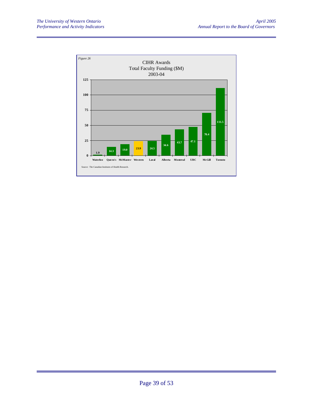![](_page_39_Figure_2.jpeg)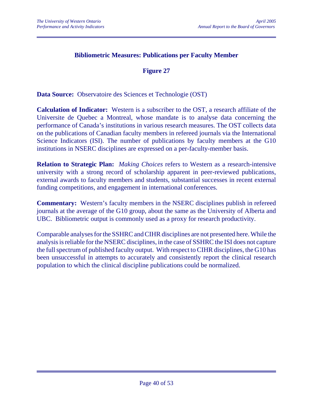# **Bibliometric Measures: Publications per Faculty Member**

### **Figure 27**

**Data Source:** Observatoire des Sciences et Technologie (OST)

**Calculation of Indicator:** Western is a subscriber to the OST, a research affiliate of the Universite de Quebec a Montreal, whose mandate is to analyse data concerning the performance of Canada's institutions in various research measures. The OST collects data on the publications of Canadian faculty members in refereed journals via the International Science Indicators (ISI). The number of publications by faculty members at the G10 institutions in NSERC disciplines are expressed on a per-faculty-member basis.

**Relation to Strategic Plan:** *Making Choices* refers to Western as a research-intensive university with a strong record of scholarship apparent in peer-reviewed publications, external awards to faculty members and students, substantial successes in recent external funding competitions, and engagement in international conferences.

**Commentary:** Western's faculty members in the NSERC disciplines publish in refereed journals at the average of the G10 group, about the same as the University of Alberta and UBC. Bibliometric output is commonly used as a proxy for research productivity.

Comparable analyses for the SSHRC and CIHR disciplines are not presented here. While the analysis is reliable for the NSERC disciplines, in the case of SSHRC the ISI does not capture the full spectrum of published faculty output. With respect to CIHR disciplines, the G10 has been unsuccessful in attempts to accurately and consistently report the clinical research population to which the clinical discipline publications could be normalized.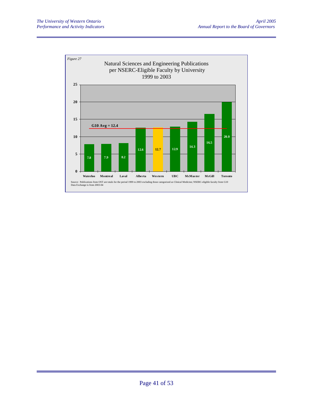![](_page_41_Figure_2.jpeg)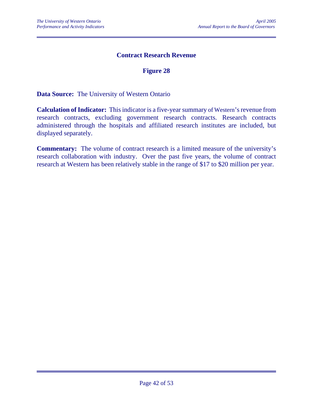# **Contract Research Revenue**

# **Figure 28**

**Data Source:** The University of Western Ontario

**Calculation of Indicator:** This indicator is a five-year summary of Western's revenue from research contracts, excluding government research contracts. Research contracts administered through the hospitals and affiliated research institutes are included, but displayed separately.

**Commentary:** The volume of contract research is a limited measure of the university's research collaboration with industry. Over the past five years, the volume of contract research at Western has been relatively stable in the range of \$17 to \$20 million per year.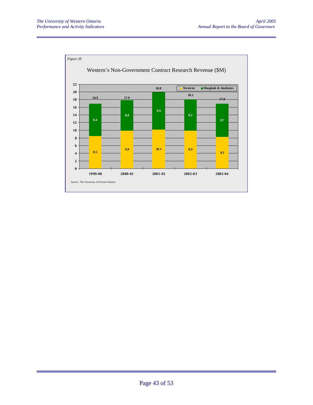![](_page_43_Figure_2.jpeg)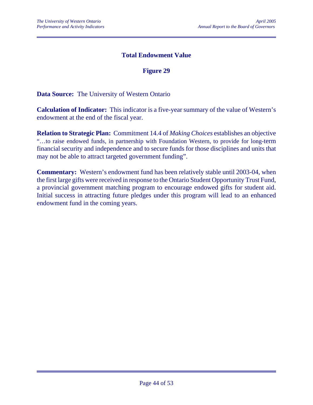# **Total Endowment Value**

### **Figure 29**

**Data Source:** The University of Western Ontario

**Calculation of Indicator:** This indicator is a five-year summary of the value of Western's endowment at the end of the fiscal year.

**Relation to Strategic Plan:** Commitment 14.4 of *Making Choices* establishes an objective "…to raise endowed funds, in partnership with Foundation Western, to provide for long-term financial security and independence and to secure funds for those disciplines and units that may not be able to attract targeted government funding".

**Commentary:** Western's endowment fund has been relatively stable until 2003-04, when the first large gifts were received in response to the Ontario Student Opportunity Trust Fund, a provincial government matching program to encourage endowed gifts for student aid. Initial success in attracting future pledges under this program will lead to an enhanced endowment fund in the coming years.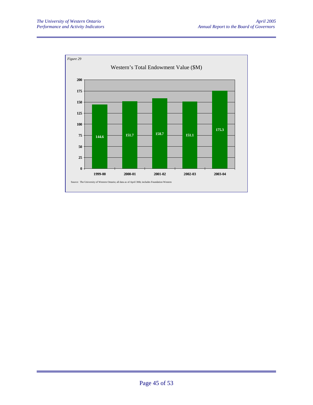![](_page_45_Figure_2.jpeg)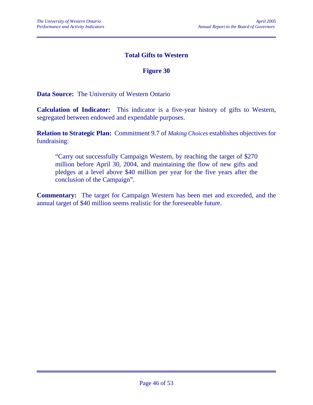# **Total Gifts to Western**

#### **Figure 30**

**Data Source:** The University of Western Ontario

**Calculation of Indicator:** This indicator is a five-year history of gifts to Western, segregated between endowed and expendable purposes.

**Relation to Strategic Plan:** Commitment 9.7 of *Making Choices* establishes objectives for fundraising:

"Carry out successfully Campaign Western, by reaching the target of \$270 million before April 30, 2004, and maintaining the flow of new gifts and pledges at a level above \$40 million per year for the five years after the conclusion of the Campaign".

**Commentary:** The target for Campaign Western has been met and exceeded, and the annual target of \$40 million seems realistic for the foreseeable future.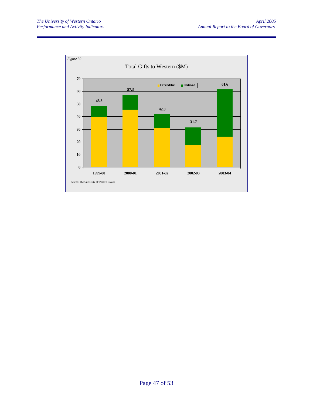![](_page_47_Figure_2.jpeg)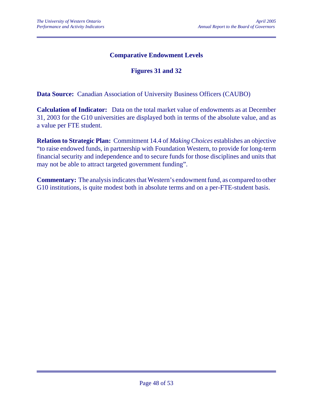# **Comparative Endowment Levels**

### **Figures 31 and 32**

**Data Source:** Canadian Association of University Business Officers (CAUBO)

**Calculation of Indicator:** Data on the total market value of endowments as at December 31, 2003 for the G10 universities are displayed both in terms of the absolute value, and as a value per FTE student.

**Relation to Strategic Plan:** Commitment 14.4 of *Making Choices* establishes an objective "to raise endowed funds, in partnership with Foundation Western, to provide for long-term financial security and independence and to secure funds for those disciplines and units that may not be able to attract targeted government funding".

**Commentary:** The analysis indicates that Western's endowment fund, as compared to other G10 institutions, is quite modest both in absolute terms and on a per-FTE-student basis.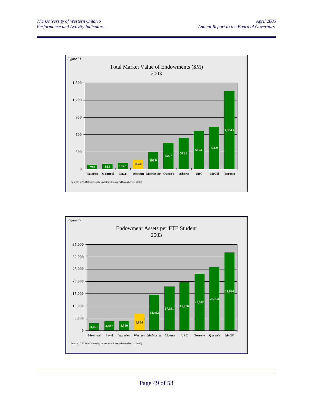![](_page_49_Figure_2.jpeg)

![](_page_49_Figure_3.jpeg)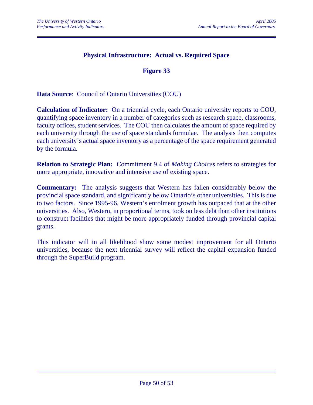# **Physical Infrastructure: Actual vs. Required Space**

### **Figure 33**

**Data Source**: Council of Ontario Universities (COU)

**Calculation of Indicator:** On a triennial cycle, each Ontario university reports to COU, quantifying space inventory in a number of categories such as research space, classrooms, faculty offices, student services. The COU then calculates the amount of space required by each university through the use of space standards formulae. The analysis then computes each university's actual space inventory as a percentage of the space requirement generated by the formula.

**Relation to Strategic Plan:** Commitment 9.4 of *Making Choices* refers to strategies for more appropriate, innovative and intensive use of existing space.

**Commentary:** The analysis suggests that Western has fallen considerably below the provincial space standard, and significantly below Ontario's other universities. This is due to two factors. Since 1995-96, Western's enrolment growth has outpaced that at the other universities. Also, Western, in proportional terms, took on less debt than other institutions to construct facilities that might be more appropriately funded through provincial capital grants.

This indicator will in all likelihood show some modest improvement for all Ontario universities, because the next triennial survey will reflect the capital expansion funded through the SuperBuild program.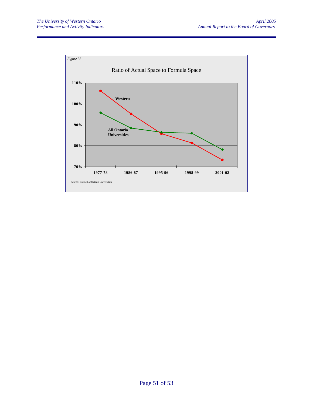![](_page_51_Figure_2.jpeg)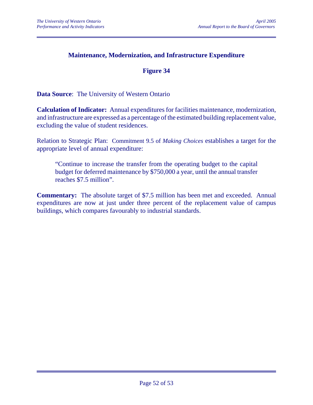# **Maintenance, Modernization, and Infrastructure Expenditure**

#### **Figure 34**

**Data Source**: The University of Western Ontario

**Calculation of Indicator:** Annual expenditures for facilities maintenance, modernization, and infrastructure are expressed as a percentage of the estimated building replacement value, excluding the value of student residences.

Relation to Strategic Plan: Commitment 9.5 of *Making Choices* establishes a target for the appropriate level of annual expenditure:

"Continue to increase the transfer from the operating budget to the capital budget for deferred maintenance by \$750,000 a year, until the annual transfer reaches \$7.5 million".

**Commentary:** The absolute target of \$7.5 million has been met and exceeded. Annual expenditures are now at just under three percent of the replacement value of campus buildings, which compares favourably to industrial standards.